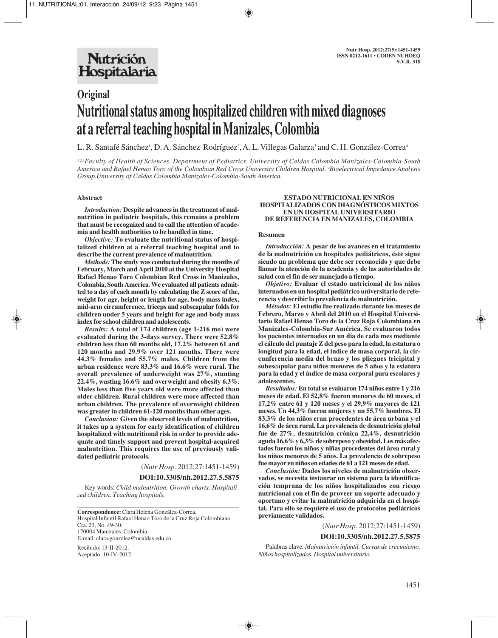# **Original Nutritional status among hospitalized children with mixed diagnoses at a referral teaching hospital in Manizales, Colombia**

L. R. Santafé Sánchez', D. A. Sánchez Rodríguez², A. L. Villegas Galarza<sup>3</sup> and C. H. González-Correa<sup>4</sup>

*1,2,3Faculty of Health of Sciences. Department of Pediatrics. University of Caldas Colombia Manizales-Colombia-South America and Rafael Henao Toro of the Colombian Red Cross University Children Hospital. 4 Bioelectrical Impedance Analysis Group.University of Caldas Colombia Manizales-Colombia-South America.*

### **Abstract**

*Introduction:* **Despite advances in the treatment of malnutrition in pediatric hospitals, this remains a problem that must be recognized and to call the attention of academia and health authorities to be handled in time.**

*Objective:* **To evaluate the nutritional status of hospitalized children at a referral teaching hospital and to describe the current prevalence of malnutrition.** 

*Methods:* **The study was conducted during the months of February, March and April 2010 at the University Hospital Rafael Henao Toro Colombian Red Cross in Manizales, Colombia, South America. We evaluated all patients admitted to a day of each month by calculating the Z score of the, weight for age, height or length for age, body mass index, mid-arm circumference, triceps and subscapular folds for children under 5 years and height for age and body mass index for school children and adolescents.**

*Results:* **A total of 174 children (age 1-216 mo) were evaluated during the 3-days survey. There were 52.8% children less than 60 months old, 17.2% between 61 and 120 months and 29.9% over 121 months. There were 44.3% females and 55.7% males. Children from the urban residence were 83.3% and 16.6% were rural. The overall prevalence of underweight was 27%, stunting 22.4%, wasting 16.6% and overweight and obesity 6.3%. Males less than five years old were more affected than older children. Rural children were more affected than urban children. The prevalence of overweight children was greater in children 61-120 months than other ages.** 

*Conclusion:* **Given the observed levels of malnutrition, it takes up a system for early identification of children hospitalized with nutritional risk in order to provide adequate and timely support and prevent hospital-acquired malnutrition. This requires the use of previously validated pediatric protocols.** 

(*Nutr Hosp.* 2012;27:1451-1459)

### **DOI:10.3305/nh.2012.27.5.5875**

Key words: *Child malnutrition. Growth charts. Hospitalized children. Teaching hospitals.*

**Correspondence:** Clara Helena González-Correa. Hospital Infantil Rafael Henao Toro de la Cruz Roja Colombiana. Cra. 23, No. 49-30. 170004 Manizales. Colombia. E-mail: clara.gonzalez@ucaldas.edu.co

Recibido: 13-II-2012. Aceptado: 10-IV-2012.

#### **ESTADO NUTRICIONAL EN NIÑOS HOSPITALIZADOS CON DIAGNÓSTICOS MIXTOS EN UN HOSPITAL UNIVERSITARIO DE REFERENCIA EN MANIZALES, COLOMBIA**

#### **Resumen**

*Introducción:* **A pesar de los avances en el tratamiento de la malnutrición en hospitales pediátricos, éste sigue siendo un problema que debe ser reconocido y que debe llamar la atención de la academia y de las autoridades de salud con el fin de ser manejado a tiempo.**

*Objetivo:* **Evaluar el estado nutricional de los niños internados en un hospital pediátrico universitario de referencia y describir la prevalencia de malnutrición.** 

*Métodos:* **El estudio fue realizado durante los meses de Febrero, Marzo y Abril del 2010 en el Hospital Universitario Rafael Henao Toro de la Cruz Roja Colombiana en Manizales-Colombia-Sur América. Se evaluaron todos los pacientes internados en un día de cada mes mediante el cálculo del puntaje Z del peso para la edad, la estatura o longitud para la edad, el índice de masa corporal, la circunferencia media del brazo y los pliegues tricipital y subescapular para niños menores de 5 años y la estatura para la edad y el índice de masa corporal para escolares y adolescentes.** 

*Resultados:* **En total se evaluaron 174 niños entre 1 y 216 meses de edad. El 52,8% fueron menores de 60 meses, el 17,2% entre 61 y 120 meses y el 29,9% mayores de 121 meses. Un 44,3% fueron mujeres y un 55,7% hombres. El 83,3% de los niños eran procedentes de área urbana y el 16,6% de área rural. La prevalencia de desnutrición global fue de 27%, desnutrición crónica 22,4%, desnutrición aguda 16,6% y 6,3% de sobrepeso y obesidad. Los más afectados fueron los niños y niñas procedentes del área rural y los niños menores de 5 años. La prevalencia de sobrepeso fue mayor en niños en edades de 61 a 121 meses de edad.** 

*Conclusión:* **Dados los niveles de malnutrición observados, se necesita instaurar un sistema para la identificación temprana de los niños hospitalizados con riesgo nutricional con el fin de proveer un soporte adecuado y oportuno y evitar la malnutrición adquirida en el hospital. Para ello se requiere el uso de protocolos pediátricos previamente validados.**

(*Nutr Hosp.* 2012;27:1451-1459)

#### **DOI:10.3305/nh.2012.27.5.5875**

Palabras clave: *Malnutrición infantil. Curvas de crecimiento. Niños hospitalizados. Hospital universitario.*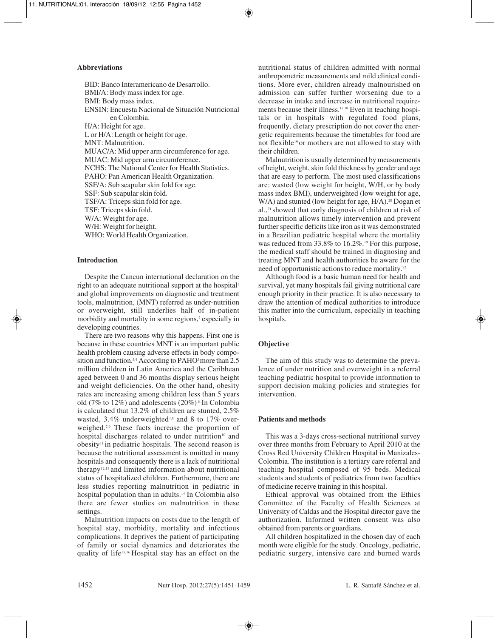# **Abbreviations**

BID: Banco Interamericano de Desarrollo. BMI/A: Body mass index for age. BMI: Body mass index. ENSIN: Encuesta Nacional de Situación Nutricional en Colombia. H/A: Height for age. L or H/A: Length or height for age. MNT: Malnutrition. MUAC/A: Mid upper arm circumference for age. MUAC: Mid upper arm circumference. NCHS: The National Center for Health Statistics. PAHO: Pan American Health Organization. SSF/A: Sub scapular skin fold for age. SSF: Sub scapular skin fold. TSF/A: Triceps skin fold for age. TSF: Triceps skin fold. W/A: Weight for age. W/H: Weight for height. WHO: World Health Organization.

# **Introduction**

Despite the Cancun international declaration on the right to an adequate nutritional support at the hospital<sup>1</sup> and global improvements on diagnostic and treatment tools, malnutrition, (MNT) referred as under-nutrition or overweight, still underlies half of in-patient morbidity and mortality in some regions,<sup>2</sup> especially in developing countries.

There are two reasons why this happens. First one is because in these countries MNT is an important public health problem causing adverse effects in body composition and function.<sup>3,4</sup> According to PAHO<sup>5</sup> more than 2.5 million children in Latin America and the Caribbean aged between 0 and 36 months display serious height and weight deficiencies. On the other hand, obesity rates are increasing among children less than 5 years old (7% to 12%) and adolescents (20%) 6. In Colombia is calculated that 13.2% of children are stunted, 2.5% wasted, 3.4% underweighted<sup>7,8</sup> and 8 to 17% overweighed.7,9 These facts increase the proportion of hospital discharges related to under nutrition<sup>10</sup> and  $obsity<sup>11</sup>$  in pediatric hospitals. The second reason is because the nutritional assessment is omitted in many hospitals and consequently there is a lack of nutritional therapy<sup>12,13</sup> and limited information about nutritional status of hospitalized children. Furthermore, there are less studies reporting malnutrition in pediatric in hospital population than in adults.14 In Colombia also there are fewer studies on malnutrition in these settings.

Malnutrition impacts on costs due to the length of hospital stay, morbidity, mortality and infectious complications. It deprives the patient of participating of family or social dynamics and deteriorates the quality of life15,16 Hospital stay has an effect on the

nutritional status of children admitted with normal anthropometric measurements and mild clinical conditions. More ever, children already malnourished on admission can suffer further worsening due to a decrease in intake and increase in nutritional requirements because their illness.<sup>17,18</sup> Even in teaching hospitals or in hospitals with regulated food plans, frequently, dietary prescription do not cover the energetic requirements because the timetables for food are not flexible<sup>19</sup> or mothers are not allowed to stay with their children.

Malnutrition is usually determined by measurements of height, weight, skin fold thickness by gender and age that are easy to perform. The most used classifications are: wasted (low weight for height, W/H, or by body mass index BMI), underweighted (low weight for age, W/A) and stunted (low height for age,  $H/A$ ).<sup>20</sup> Dogan et al.,21 showed that early diagnosis of children at risk of malnutrition allows timely intervention and prevent further specific deficits like iron as it was demonstrated in a Brazilian pediatric hospital where the mortality was reduced from 33.8% to 16.2%.<sup>19</sup> For this purpose, the medical staff should be trained in diagnosing and treating MNT and health authorities be aware for the need of opportunistic actions to reduce mortality.22

Although food is a basic human need for health and survival, yet many hospitals fail giving nutritional care enough priority in their practice. It is also necessary to draw the attention of medical authorities to introduce this matter into the curriculum, especially in teaching hospitals.

# **Objective**

The aim of this study was to determine the prevalence of under nutrition and overweight in a referral teaching pediatric hospital to provide information to support decision making policies and strategies for intervention.

# **Patients and methods**

This was a 3-days cross-sectional nutritional survey over three months from February to April 2010 at the Cross Red University Children Hospital in Manizales-Colombia. The institution is a tertiary care referral and teaching hospital composed of 95 beds. Medical students and students of pediatrics from two faculties of medicine receive training in this hospital.

Ethical approval was obtained from the Ethics Committee of the Faculty of Health Sciences at University of Caldas and the Hospital director gave the authorization. Informed written consent was also obtained from parents or guardians.

All children hospitalized in the chosen day of each month were eligible for the study. Oncology, pediatric, pediatric surgery, intensive care and burned wards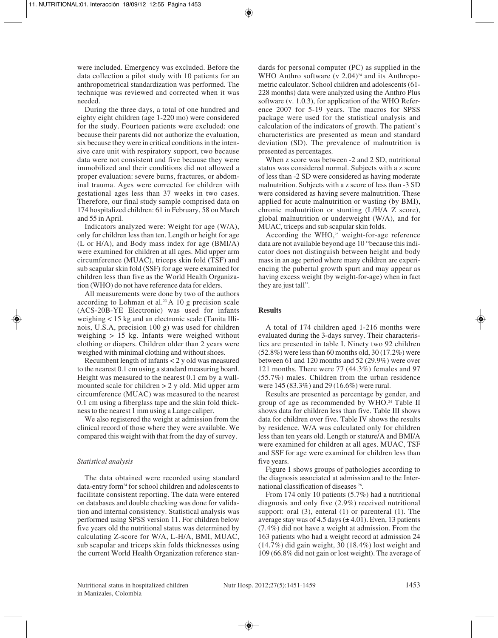were included. Emergency was excluded. Before the data collection a pilot study with 10 patients for an anthropometrical standardization was performed. The technique was reviewed and corrected when it was needed.

During the three days, a total of one hundred and eighty eight children (age 1-220 mo) were considered for the study. Fourteen patients were excluded: one because their parents did not authorize the evaluation, six because they were in critical conditions in the intensive care unit with respiratory support, two because data were not consistent and five because they were immobilized and their conditions did not allowed a proper evaluation: severe burns, fractures, or abdominal trauma. Ages were corrected for children with gestational ages less than 37 weeks in two cases. Therefore, our final study sample comprised data on 174 hospitalized children: 61 in February, 58 on March and 55 in April.

Indicators analyzed were: Weight for age (W/A), only for children less than ten. Length or height for age (L or H/A), and Body mass index for age (BMI/A) were examined for children at all ages. Mid upper arm circumference (MUAC), triceps skin fold (TSF) and sub scapular skin fold (SSF) for age were examined for children less than five as the World Health Organization (WHO) do not have reference data for elders.

All measurements were done by two of the authors according to Lohman et al.<sup>23</sup> A 10 g precision scale (ACS-20B-YE Electronic) was used for infants weighing < 15 kg and an electronic scale (Tanita Illinois, U.S.A, precision 100 g) was used for children weighing > 15 kg. Infants were weighed without clothing or diapers. Children older than 2 years were weighed with minimal clothing and without shoes.

Recumbent length of infants < 2 y old was measured to the nearest 0.1 cm using a standard measuring board. Height was measured to the nearest 0.1 cm by a wallmounted scale for children > 2 y old. Mid upper arm circumference (MUAC) was measured to the nearest 0.1 cm using a fiberglass tape and the skin fold thickness to the nearest 1 mm using a Lange caliper.

We also registered the weight at admission from the clinical record of those where they were available. We compared this weight with that from the day of survey.

# *Statistical analysis*

The data obtained were recorded using standard data-entry form24 for school children and adolescents to facilitate consistent reporting. The data were entered on databases and double checking was done for validation and internal consistency. Statistical analysis was performed using SPSS version 11. For children below five years old the nutritional status was determined by calculating Z-score for W/A, L-H/A, BMI, MUAC, sub scapular and triceps skin folds thicknesses using the current World Health Organization reference standards for personal computer (PC) as supplied in the WHO Anthro software  $(v 2.04)$ <sup>24</sup> and its Anthropometric calculator. School children and adolescents (61- 228 months) data were analyzed using the Anthro Plus software (v. 1.0.3), for application of the WHO Reference 2007 for 5-19 years. The macros for SPSS package were used for the statistical analysis and calculation of the indicators of growth. The patient's characteristics are presented as mean and standard deviation (SD). The prevalence of malnutrition is presented as percentages.

When z score was between -2 and 2 SD, nutritional status was considered normal. Subjects with a z score of less than -2 SD were considered as having moderate malnutrition. Subjects with a z score of less than -3 SD were considered as having severe malnutrition. These applied for acute malnutrition or wasting (by BMI), chronic malnutrition or stunting (L/H/A Z score), global malnutrition or underweight (W/A), and for MUAC, triceps and sub scapular skin folds.

According the WHO, $25$  weight-for-age reference data are not available beyond age 10 "because this indicator does not distinguish between height and body mass in an age period where many children are experiencing the pubertal growth spurt and may appear as having excess weight (by weight-for-age) when in fact they are just tall".

# **Results**

A total of 174 children aged 1-216 months were evaluated during the 3-days survey. Their characteristics are presented in table I. Ninety two 92 children (52.8%) were less than 60 months old, 30 (17.2%) were between 61 and 120 months and 52 (29.9%) were over 121 months. There were 77 (44.3%) females and 97 (55.7%) males. Children from the urban residence were 145 (83.3%) and 29 (16.6%) were rural.

Results are presented as percentage by gender, and group of age as recommended by WHO.<sup>24</sup> Table II shows data for children less than five. Table III shows data for children over five. Table IV shows the results by residence. W/A was calculated only for children less than ten years old. Length or stature/A and BMI/A were examined for children at all ages. MUAC, TSF and SSF for age were examined for children less than five years.

Figure 1 shows groups of pathologies according to the diagnosis associated at admission and to the International classification of diseases 26.

From 174 only 10 patients (5.7%) had a nutritional diagnosis and only five (2.9%) received nutritional support: oral (3), enteral (1) or parenteral (1). The average stay was of 4.5 days  $(\pm 4.01)$ . Even, 13 patients (7.4%) did not have a weight at admission. From the 163 patients who had a weight record at admission 24 (14.7%) did gain weight, 30 (18.4%) lost weight and 109 (66.8% did not gain or lost weight). The average of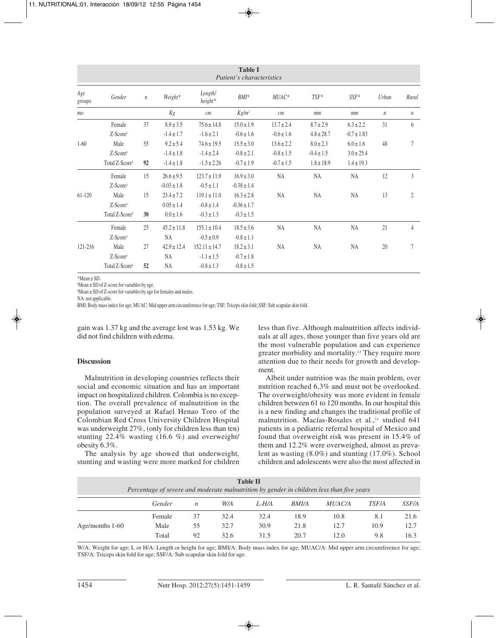| <b>Table I</b><br>Patient's characteristics |                                                  |          |                                                   |                                                       |                                                     |                                                    |                                                   |                                                   |                  |                  |
|---------------------------------------------|--------------------------------------------------|----------|---------------------------------------------------|-------------------------------------------------------|-----------------------------------------------------|----------------------------------------------------|---------------------------------------------------|---------------------------------------------------|------------------|------------------|
| Age<br>groups                               | Gender                                           | $\it n$  | Weight*                                           | Length/<br>height*                                    | $BMI*$                                              | $MUAC*$                                            | $TSF^*$                                           | $SSF*$                                            | Urban            | Rural            |
| mo                                          |                                                  |          | Kg                                                | cm                                                    | $Kg/m^2$                                            | cm                                                 | mm                                                | mm                                                | $\boldsymbol{n}$ | $\boldsymbol{n}$ |
|                                             | Female<br>$Z-Score§$                             | 37       | $8.9 \pm 3.5$<br>$-1.4 \pm 1.7$                   | $75.6 \pm 14.8$<br>$-1.6 \pm 2.1$                     | $15.0 \pm 1.9$<br>$-0.6 \pm 1.6$                    | $13.7 \pm 2.4$<br>$-0.6 \pm 1.6$                   | $8.7 \pm 2.9$<br>$4.8 \pm 28.7$                   | $6.3 \pm 2.2$<br>$-0.7 \pm 1.83$                  | 31               | 6                |
| $1-60$                                      | Male<br>$Z-Score§$<br>Total Z-Score <sup>¥</sup> | 55<br>92 | $9.2 \pm 5.4$<br>$-1.4 \pm 1.8$<br>$-1.4 \pm 1.8$ | $74.6 \pm 19.5$<br>$-1.4 \pm 2.4$<br>$-1.5 \pm 2.26$  | $15.5 \pm 3.0$<br>$-0.8 \pm 2.1$<br>$-0.7 \pm 1.9$  | $13.6 \pm 2.2$<br>$-0.8 \pm 1.5$<br>$-0.7 \pm 1.5$ | $8.0 \pm 2.3$<br>$-0.4 \pm 1.5$<br>$1.8 \pm 18.9$ | $6.0 \pm 1.6$<br>$3.0 \pm 25.4$<br>$1.4 \pm 19.3$ | 48               | 7                |
|                                             | Female<br>$Z-Score§$                             | 15       | $26.6 \pm 9.5$<br>$-0.03 \pm 1.8$                 | $123.7 \pm 11.9$<br>$-0.5 \pm 1.1$                    | $16.9 \pm 3.0$<br>$-0.38 \pm 1.4$                   | <b>NA</b>                                          | <b>NA</b>                                         | NA                                                | 12               | 3                |
| $61-120$                                    | Male<br>$Z-Score§$<br>Total Z-Score <sup>¥</sup> | 15<br>30 | $23.4 \pm 7.2$<br>$0.05 \pm 1.4$<br>$0.0 \pm 1.6$ | $119.1 \pm 11.0$<br>$-0.8 \pm 1.4$<br>$-0.3 \pm 1.3$  | $16.3 \pm 2.8$<br>$-0.36 \pm 1.7$<br>$-0.3 \pm 1.5$ | <b>NA</b>                                          | <b>NA</b>                                         | NA                                                | 13               | $\overline{2}$   |
|                                             | Female<br>$Z-Score§$                             | 25       | $45.2 \pm 11.8$<br><b>NA</b>                      | $155.1 \pm 10.4$<br>$-0.5 \pm 0.9$                    | $18.5 \pm 3.6$<br>$-0.8 \pm 1.1$                    | <b>NA</b>                                          | <b>NA</b>                                         | NA                                                | 21               | $\overline{4}$   |
| 121-216                                     | Male<br>$Z-Score§$<br>Total Z-Score <sup>*</sup> | 27<br>52 | $42.9 \pm 12.4$<br><b>NA</b><br>NA                | $152.11 \pm 14.7$<br>$-1.1 \pm 1.5$<br>$-0.8 \pm 1.3$ | $18.2 \pm 3.1$<br>$-0.7 \pm 1.8$<br>$-0.8 \pm 1.5$  | <b>NA</b>                                          | <b>NA</b>                                         | <b>NA</b>                                         | 20               | 7                |

\*Mean ± SD.

¥ Mean ± SD of Z-score for variables by age.

¥ Mean ± SD of Z-score for variables by age for females and males.

NA: not applicable.

BMI: Body mass index for age; MUAC: Mid upper arm circumference for age; TSF: Tríceps skin fold; SSF: Sub scapular skin fold.

gain was 1.37 kg and the average lost was 1.53 kg. We did not find children with edema.

# **Discussion**

Malnutrition in developing countries reflects their social and economic situation and has an important impact on hospitalized children. Colombia is no exception. The overall prevalence of malnutrition in the population surveyed at Rafael Henao Toro of the Colombian Red Cross University Children Hospital was underweight 27%, (only for children less than ten) stunting 22.4% wasting (16.6 %) and overweight/ obesity 6.3%.

The analysis by age showed that underweight, stunting and wasting were more marked for children less than five. Although malnutrition affects individuals at all ages, those younger than five years old are the most vulnerable population and can experience greater morbidity and mortality.13 They require more attention due to their needs for growth and development.

Albeit under nutrition was the main problem, over nutrition reached 6,3% and must not be overlooked. The overweight/obesity was more evident in female children between 61 to 120 months. In our hospital this is a new finding and changes the traditional profile of malnutrition. Macías-Rosales et al.,<sup>11</sup> studied 641 patients in a pediatric referral hospital of Mexico and found that overweight risk was present in 15.4% of them and 12.2% were overweighed, almost as prevalent as wasting (8.0%) and stunting (17.0%). School children and adolescents were also the most affected in

|                 | Percentage of severe and moderate malnutrition by gender in children less than five years |    |      | <b>Table II</b> |              |               |              |              |
|-----------------|-------------------------------------------------------------------------------------------|----|------|-----------------|--------------|---------------|--------------|--------------|
|                 | Gender                                                                                    | n  | W/A  | L-H/A           | <i>BMI/A</i> | <i>MUAC/A</i> | <i>TSF/A</i> | <i>SSF/A</i> |
|                 | Female                                                                                    | 37 | 32.4 | 32.4            | 18.9         | 10.8          | 8.1          | 21.6         |
| Age/months 1-60 | Male                                                                                      | 55 | 32.7 | 30.9            | 21.8         | 12.7          | 10.9         | 12.7         |
|                 | Total                                                                                     | 92 | 32.6 | 31.5            | 20.7         | 12.0          | 9.8          | 16.3         |

W/A: Weight for age; L or H/A: Length or height for age; BMI/A: Body mass index for age; MUAC/A: Mid upper arm circumference for age; TSF/A: Triceps skin fold for age; SSF/A: Sub scapular skin fold for age.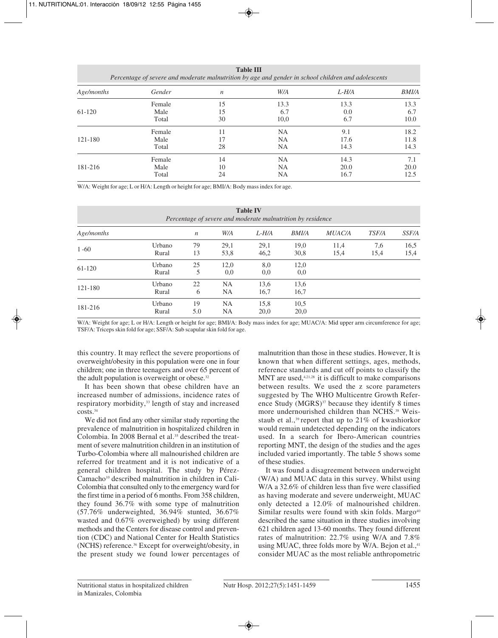| <b>Table III</b><br>Percentage of severe and moderate malnutrition by age and gender in school children and adolescents |        |                  |           |       |              |  |  |  |  |
|-------------------------------------------------------------------------------------------------------------------------|--------|------------------|-----------|-------|--------------|--|--|--|--|
| Age/months                                                                                                              | Gender | $\boldsymbol{n}$ | W/A       | L-H/A | <b>BMI/A</b> |  |  |  |  |
|                                                                                                                         | Female | 15               | 13.3      | 13.3  | 13.3         |  |  |  |  |
| 61-120                                                                                                                  | Male   | 15               | 6.7       | 0.0   | 6.7          |  |  |  |  |
|                                                                                                                         | Total  | 30               | 10,0      | 6.7   | 10.0         |  |  |  |  |
|                                                                                                                         | Female | 11               | <b>NA</b> | 9.1   | 18.2         |  |  |  |  |
| 121-180                                                                                                                 | Male   | 17               | <b>NA</b> | 17.6  | 11.8         |  |  |  |  |
|                                                                                                                         | Total  | 28               | <b>NA</b> | 14.3  | 14.3         |  |  |  |  |
|                                                                                                                         | Female | 14               | <b>NA</b> | 14.3  | 7.1          |  |  |  |  |
| 181-216                                                                                                                 | Male   | 10               | <b>NA</b> | 20.0  | 20.0         |  |  |  |  |
|                                                                                                                         | Total  | 24               | NA        | 16.7  | 12.5         |  |  |  |  |

W/A: Weight for age; L or H/A: Length or height for age; BMI/A: Body mass index for age.

| <b>Table IV</b><br>Percentage of severe and moderate malnutrition by residence |                 |                  |              |              |              |               |              |              |
|--------------------------------------------------------------------------------|-----------------|------------------|--------------|--------------|--------------|---------------|--------------|--------------|
| Age/months                                                                     |                 | $\boldsymbol{n}$ | W/A          | $L-H/A$      | <b>BMI/A</b> | <b>MUAC/A</b> | <b>TSF/A</b> | <i>SSF/A</i> |
| $1 - 60$                                                                       | Urbano<br>Rural | 79<br>13         | 29,1<br>53,8 | 29,1<br>46,2 | 19,0<br>30,8 | 11,4<br>15,4  | 7,6<br>15,4  | 16,5<br>15,4 |
| 61-120                                                                         | Urbano<br>Rural | 25<br>5          | 12,0<br>0,0  | 8,0<br>0,0   | 12,0<br>0,0  |               |              |              |
| 121-180                                                                        | Urbano<br>Rural | 22<br>6          | NA<br>NA     | 13,6<br>16,7 | 13,6<br>16,7 |               |              |              |
| 181-216                                                                        | Urbano<br>Rural | 19<br>5.0        | NA<br>NA     | 15,8<br>20,0 | 10.5<br>20,0 |               |              |              |

W/A: Weight for age; L or H/A: Length or height for age; BMI/A: Body mass index for age; MUAC/A: Mid upper arm circumference for age; TSF/A: Triceps skin fold for age; SSF/A: Sub scapular skin fold for age.

this country. It may reflect the severe proportions of overweight/obesity in this population were one in four children; one in three teenagers and over 65 percent of the adult population is overweight or obese.<sup>32</sup>

It has been shown that obese children have an increased number of admissions, incidence rates of respiratory morbidity,33 length of stay and increased costs.34

We did not find any other similar study reporting the prevalence of malnutrition in hospitalized children in Colombia. In 2008 Bernal et al.35 described the treatment of severe malnutrition children in an institution of Turbo-Colombia where all malnourished children are referred for treatment and it is not indicative of a general children hospital. The study by Pérez-Camacho10 described malnutrition in children in Cali-Colombia that consulted only to the emergency ward for the first time in a period of 6 months. From 358 children, they found 36.7% with some type of malnutrition (57.76% underweighted, 36.94% stunted, 36.67% wasted and 0.67% overweighed) by using different methods and the Centers for disease control and prevention (CDC) and National Center for Health Statistics (NCHS) reference.36 Except for overweight/obesity, in the present study we found lower percentages of

malnutrition than those in these studies. However, It is known that when different settings, ages, methods, reference standards and cut off points to classify the MNT are used, $4,21,28$  it is difficult to make comparisons between results. We used the z score parameters suggested by The WHO Multicentre Growth Reference Study  $(MGRS)^{37}$  because they identify 8 times more undernourished children than NCHS.<sup>38</sup> Weisstaub et al.,<sup>39</sup> report that up to 21% of kwashiorkor would remain undetected depending on the indicators used. In a search for Ibero-American countries reporting MNT, the design of the studies and the ages included varied importantly. The table 5 shows some of these studies.

It was found a disagreement between underweight (W/A) and MUAC data in this survey. Whilst using W/A a 32.6% of children less than five were classified as having moderate and severe underweight, MUAC only detected a 12.0% of malnourished children. Similar results were found with skin folds. Margo<sup>40</sup> described the same situation in three studies involving 621 children aged 13-60 months. They found different rates of malnutrition: 22.7% using W/A and 7.8% using MUAC, three folds more by W/A. Bejon et al.,<sup>41</sup> consider MUAC as the most reliable anthropometric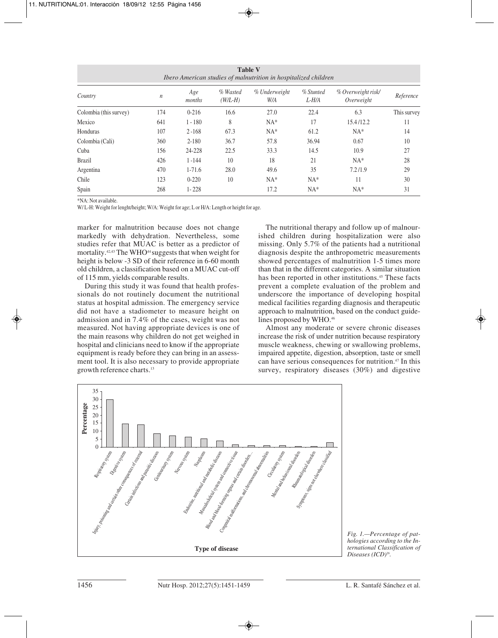| <b>Table V</b><br>Ibero American studies of malnutrition in hospitalized children |                  |               |                       |                      |                    |                                  |             |  |  |
|-----------------------------------------------------------------------------------|------------------|---------------|-----------------------|----------------------|--------------------|----------------------------------|-------------|--|--|
| Country                                                                           | $\boldsymbol{n}$ | Age<br>months | % Wasted<br>$(W/L-H)$ | % Underweight<br>W/A | % Stunted<br>L-H/A | % Overweight risk/<br>Overweight | Reference   |  |  |
| Colombia (this survey)                                                            | 174              | $0 - 216$     | 16.6                  | 27.0                 | 22.4               | 6.3                              | This survey |  |  |
| Mexico                                                                            | 641              | $1 - 180$     | 8                     | $NA*$                | 17                 | 15.4/12.2                        | 11          |  |  |
| Honduras                                                                          | 107              | $2 - 168$     | 67.3                  | $NA*$                | 61.2               | $NA*$                            | 14          |  |  |
| Colombia (Cali)                                                                   | 360              | $2 - 180$     | 36.7                  | 57.8                 | 36.94              | 0.67                             | 10          |  |  |
| Cuba                                                                              | 156              | 24-228        | 22.5                  | 33.3                 | 14.5               | 10.9                             | 27          |  |  |
| <b>Brazil</b>                                                                     | 426              | $1 - 144$     | 10                    | 18                   | 21                 | $NA*$                            | 28          |  |  |
| Argentina                                                                         | 470              | $1-71.6$      | 28.0                  | 49.6                 | 35                 | 7.2/1.9                          | 29          |  |  |
| Chile                                                                             | 123              | $0 - 220$     | 10                    | $NA*$                | $NA*$              | 11                               | 30          |  |  |
| Spain                                                                             | 268              | $1 - 228$     |                       | 17.2                 | $NA*$              | $NA*$                            | 31          |  |  |

\*NA: Not available.

W/ L-H: Weight for lenght/height; W/A: Weight for age; L or H/A: Length or height for age.

marker for malnutrition because does not change markedly with dehydration. Nevertheless, some studies refer that MUAC is better as a predictor of mortality.<sup>42,43</sup> The WHO<sup>44</sup> suggests that when weight for height is below -3 SD of their reference in 6-60 month old children, a classification based on a MUAC cut-off of 115 mm, yields comparable results.

During this study it was found that health professionals do not routinely document the nutritional status at hospital admission. The emergency service did not have a stadiometer to measure height on admission and in 7.4% of the cases, weight was not measured. Not having appropriate devices is one of the main reasons why children do not get weighed in hospital and clinicians need to know if the appropriate equipment is ready before they can bring in an assessment tool. It is also necessary to provide appropriate growth reference charts.13

The nutritional therapy and follow up of malnourished children during hospitalization were also missing. Only 5.7% of the patients had a nutritional diagnosis despite the anthropometric measurements showed percentages of malnutrition 1-5 times more than that in the different categories. A similar situation has been reported in other institutions.<sup>45</sup> These facts prevent a complete evaluation of the problem and underscore the importance of developing hospital medical facilities regarding diagnosis and therapeutic approach to malnutrition, based on the conduct guidelines proposed by WHO.<sup>46</sup>

Almost any moderate or severe chronic diseases increase the risk of under nutrition because respiratory muscle weakness, chewing or swallowing problems, impaired appetite, digestion, absorption, taste or smell can have serious consequences for nutrition.47 In this survey, respiratory diseases (30%) and digestive



*Fig. 1.—Percentage of pathologies according to the International Classification of Diseases (ICD)26.*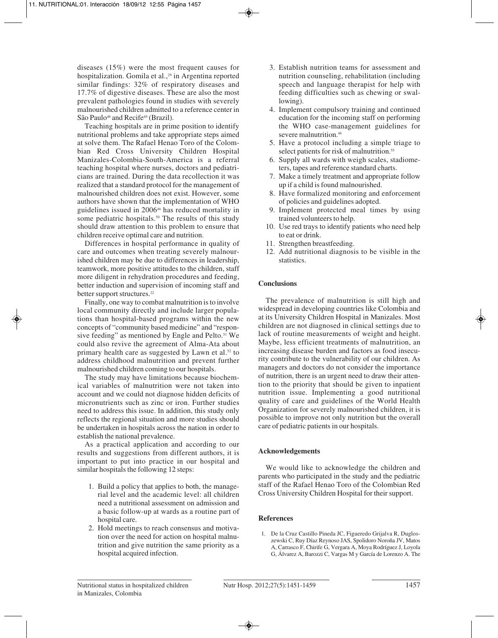diseases (15%) were the most frequent causes for hospitalization. Gomila et al.,<sup>29</sup> in Argentina reported similar findings: 32% of respiratory diseases and 17.7% of digestive diseases. These are also the most prevalent pathologies found in studies with severely malnourished children admitted to a reference center in São Paulo<sup>48</sup> and Recife<sup>49</sup> (Brazil).

Teaching hospitals are in prime position to identify nutritional problems and take appropriate steps aimed at solve them. The Rafael Henao Toro of the Colombian Red Cross University Children Hospital Manizales-Colombia-South-America is a referral teaching hospital where nurses, doctors and pediatricians are trained. During the data recollection it was realized that a standard protocol for the management of malnourished children does not exist. However, some authors have shown that the implementation of WHO guidelines issued in 200646 has reduced mortality in some pediatric hospitals.<sup>50</sup> The results of this study should draw attention to this problem to ensure that children receive optimal care and nutrition.

Differences in hospital performance in quality of care and outcomes when treating severely malnourished children may be due to differences in leadership, teamwork, more positive attitudes to the children, staff more diligent in rehydration procedures and feeding, better induction and supervision of incoming staff and better support structures.<sup>22</sup>

Finally, one way to combat malnutrition is to involve local community directly and include larger populations than hospital-based programs within the new concepts of "community based medicine" and "responsive feeding" as mentioned by Engle and Pelto.<sup>51</sup> We could also revive the agreement of Alma-Ata about primary health care as suggested by Lawn et al.52 to address childhood malnutrition and prevent further malnourished children coming to our hospitals.

The study may have limitations because biochemical variables of malnutrition were not taken into account and we could not diagnose hidden deficits of micronutrients such as zinc or iron. Further studies need to address this issue. In addition, this study only reflects the regional situation and more studies should be undertaken in hospitals across the nation in order to establish the national prevalence.

As a practical application and according to our results and suggestions from different authors, it is important to put into practice in our hospital and similar hospitals the following 12 steps:

- 1. Build a policy that applies to both, the managerial level and the academic level: all children need a nutritional assessment on admission and a basic follow-up at wards as a routine part of hospital care.
- 2. Hold meetings to reach consensus and motivation over the need for action on hospital malnutrition and give nutrition the same priority as a hospital acquired infection.
- 3. Establish nutrition teams for assessment and nutrition counseling, rehabilitation (including speech and language therapist for help with feeding difficulties such as chewing or swallowing).
- 4. Implement compulsory training and continued education for the incoming staff on performing the WHO case-management guidelines for severe malnutrition.<sup>46</sup>
- 5. Have a protocol including a simple triage to select patients for risk of malnutrition.<sup>53</sup>
- 6. Supply all wards with weigh scales, stadiometers, tapes and reference standard charts.
- 7. Make a timely treatment and appropriate follow up if a child is found malnourished.
- 8. Have formalized monitoring and enforcement of policies and guidelines adopted.
- 9. Implement protected meal times by using trained volunteers to help.
- 10. Use red trays to identify patients who need help to eat or drink.
- 11. Strengthen breastfeeding.
- 12. Add nutritional diagnosis to be visible in the statistics.

# **Conclusions**

The prevalence of malnutrition is still high and widespread in developing countries like Colombia and at its University Children Hospital in Manizales. Most children are not diagnosed in clinical settings due to lack of routine measurements of weight and height. Maybe, less efficient treatments of malnutrition, an increasing disease burden and factors as food insecurity contribute to the vulnerability of our children. As managers and doctors do not consider the importance of nutrition, there is an urgent need to draw their attention to the priority that should be given to inpatient nutrition issue. Implementing a good nutritional quality of care and guidelines of the World Health Organization for severely malnourished children, it is possible to improve not only nutrition but the overall care of pediatric patients in our hospitals.

# **Acknowledgements**

We would like to acknowledge the children and parents who participated in the study and the pediatric staff of the Rafael Henao Toro of the Colombian Red Cross University Children Hospital for their support.

# **References**

1. De la Cruz Castillo Pineda JC, Figueredo Grijalva R, Dugloszewski C, Ruy Díaz Reynoso JAS, Spolidoro Noroña JV, Matos A, Carrasco F, Chirife G, Vergara A, Moya Rodríguez J, Loyola G, Álvarez A, Barozzi C, Vargas M y García de Lorenzo A. The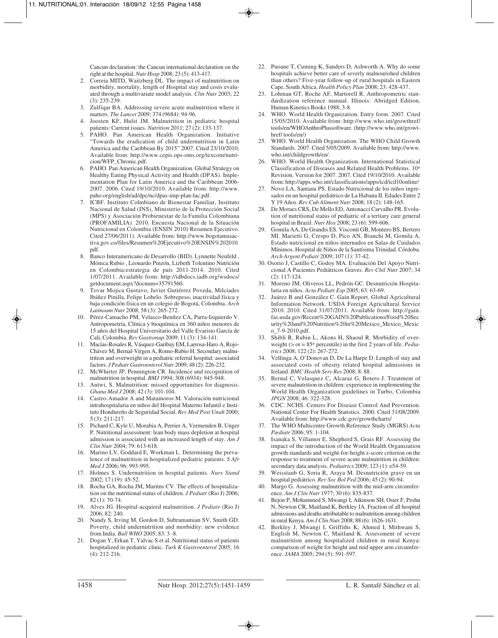Cancun declaration: the Cancun international declaration on the right at the hospital. *Nutr Hosp* 2008; 23 (5): 413-417.

- 2. Correia MITD, Waitzberg DL. The impact of malnutrition on morbidity, mortality, length of Hospital stay and costs evaluated through a multivariate model analysis. *Clin Nutr* 2003; 22 (3): 235-239.
- 3. Zulfiqar BA. Addressing severe acute malnutrition where it matters. *The Lancet* 2009; 374 (9684): 94-96.
- 4. Joosten KF, Hulst JM. Malnutrition in pediatric hospital patients: Current issues. *Nutrition* 2011; 27 (2): 133-137.
- 5. PAHO. Pan American Health Organization. Initiative "Towards the eradication of child undernutrition in Latin America and the Caribbean By 2015" 2007. Cited 23/10/2010; Available from: http://www.cepis.ops-oms.org/texcom/nutricion/WFP\_Chronic.pdf.
- 6. PAHO. Pan American Health Organization. Global Strategy on Healthy Eating Physical Activity and Health (DPAS). Implementation Plan for Latin America and the Caribbean 2006- 2007. 2006. Cited 19/10/2010. Available from: http://www. paho.org/english/ad/dpc/nc/dpas-imp-plan-lac.pdf.
- 7. ICBF. Instituto Colmbiano de Bienestar Familiar, Instituto Nacional de Salud (INS), Ministerio de la Protección Social (MPS) y Asociación Probienestar de la Familia Colombiana (PROFAMILIA). 2010. Encuesta Nacional de la Situación Nutricional en Colombia (ENSIN 2010) Resumen Ejecutivo. Cited 27/06/2011). Available from: http://www.bogotamasactiva.gov.co/files/Resumen%20Ejecutivo%20ENSIN%202010. pdf.
- Banco Interamericano de Desarrollo (BID). Lynnette Neufeld, Mónica Rubio , Leonardo Pinzón, Lizbeth Tolentino Nutrición en Colombia:estrategia de país 2011-2014. 2010. Cited 1/07/2011. Available from: http://idbdocs.iadb.org/wsdocs/ getdocument.aspx?docnum=35791560.
- 9. Tovar Mojica Gustavo, Javier Gutiérrez Poveda, Milciades Ibáñez Pinilla, Felipe Lobelo. Sobrepeso, inactividad física y baja condición física en un colegio de Bogotá, Colombia. *Arch Latinoam Nutr* 2008; 58 (3): 265-272.
- 10. Pérez-Camacho PM, Velasco-Benítez CA, Parra-Izquierdo V. Antropometría, Clínica y bioquímica en 360 niños menores de 15 años del Hospital Universitario del Valle Evaristo García de Cali, Colombia. *Rev Gastronup* 2009; 11 (3): 134-141.
- 11. Macías-Rosales R, Vásquez-Garibay EM, Larrosa-Haro A, Rojo-Chávez M, Bernal-Virgen A, Romo-Rubio H. Secondary malnutrition and overweight in a pediatric referral hospital: associated factors. *J Pediatr Gastroenterol Nutr* 2009; 48 (2): 226-232.
- 12. McWhirter JP, Pennington CR. Incidence and recognition of malnutrition in hospital. *BMJ* 1994; 308 (6934): 945-948.
- 13. Antwi, S. Malnutrition: missed opportunities for diagnosis. *Ghana Med J* 2008; 42 (3): 101-104.
- 14. Castro-Amador A and Matamoros M. Valoración nutricional intrahospitalaria en niños del Hospital Materno Infantil e Instituto Hondureño de Seguridad Social. *Rev Med Post Unah* 2000; 5 (3): 211-217.
- 15. Pichard C, Kyle U, Morabia A, Perrier A, Vermenden B, Unger P. Nutritional assessment: lean body mass depletion at hospital admission is associated with an increased length of stay. *Am J Clin Nutr* 2004; 79: 613-618.
- 16. Marino LV, Goddard E, Workman L. Determining the prevalence of malnutrition in hospitalized pediatric patients. *S Afr Med J* 2006; 96: 993-995.
- 17. Holmes S. Undernutrition in hospital patients. *Nurs Stand* 2002; 17 (19): 45-52.
- 18. Rocha GA, Rocha JM, Maritns CV. The effects of hospitalization on the nutritional status of children. *J Pediatr* (Rio J) 2006; 82 (1): 70-74.
- 19. Alves JG. Hospital-acquired malnutrition. *J Pediatr* (Rio J) 2006; 82: 240.
- 20. Nandy S, Irving M, Gordon D, Subramamian SV, Smith GD. Poverty, child undernutrition and morbidity: new evidence from India. *Bull WHO* 2005; 83: 3 -8.
- 21. Dogan Y, Erkan T, Yalvac S et al. Nutritional status of patients hospitalized in pediatric clinic. *Turk K Gastroenterol* 2005; 16 (4): 212-216.
- 22. Puoane T, Cuming K, Sanders D, Ashworth A. Why do some hospitals achieve better care of severly malnourished children than others? Five-year follow-up of rural hospitals in Eastern Cape, South Africa. *Health Policy Plan* 2008; 23: 428-437.
- 23. Lohman GT, Roche AF, Martorell R. Anthropometric standardization reference manual. Illinois: Abridged Edition, Human Kinetics Books 1988; 3-8.
- 24. WHO. World Health Organization. Entry form. 2007. Cited 15/05/2010. Available from: http://www.who.int/growthref/ tools/en/WHOAnthroPlussoftware. (http://www.who.int/growthref/ tools/en/)
- 25. WHO. World Health Organization. The WHO Child Growth Standards. 2007. Cited 5/05/2009. Available from: http://www. who.int/childgrowth/en/.
- 26. WHO. World Health Organization. International Statistical Classification of Diseases and Related Health Problems.  $10<sup>th</sup>$ Revision. Version for 2007. 2007. Cited 19/10/2010. Available from: http://apps.who.int/classifications/apps/icd/icd10online/
- 27. Novo LA, Santana PS. Estado Nutricional de los niños ingresados en un hospital pediátrico de La Habana II. Edades Entre 2 Y 19 Años. *Rev Cub Aliment Nutr* 2008; 18 (2): 148-165.
- 28. De Moraes CRS, De Mello ED, Antonacci Carvalho PR. Evolution of nutritional status of pediatric of a tertiary care general hospital in Brazil. *Nutr Hos* 2008; 23 (6): 599-606.
- 29. Gomila AA, De Grandis ES. Visconti GB, Montero BS, Bertero MI. Marietti G, Crespo D, Pico AN, Bianchi M, Gomila A. Estado nutricional en niños internados en Salas de Cuidados Mínimos. Hospital de Niños de la Santísima Trinidad. Córdoba. *Arch Argent Pediatr* 2009; 107 (1): 37-42.
- 30. Osorio J, Castillo C, Godoy MA. Evaluación Del Apoyo Nutricional A Pacientes Pediátricos Graves. *Rev Chil Nutr* 2007; 34 (2): 117-124.
- 31. Moreno JM, Oliveros LL, Pedrón GC. Desnutrición Hospitalaria en niños. *Acta Pediatr Esp* 2005; 63: 63-69.
- 32. Juárez B and González C. Gain Report. Global Agricultural Information Network. USDA Foreign Agricultural Service 2010. 2010. Cited 31/07/2011. Available from: http://gain. fas.usda.gov/Recent%20GAIN%20Publications/Food%20Sec urity%20and%20Nutrition%20in%20Mexico\_Mexico\_Mexic o\_7-9-2010.pdf.
- 33. Shibli R, Rubin L, Akons H, Shaoul R. Morbidity of overweight ( $>$  or = 85<sup>th</sup> percentile) in the first 2 years of life. *Pediatrics* 2008; 122 (2): 267-272.
- 34. Vellinga A, O'Donovan D, De La Harpe D. Length of stay and associated costs of obesity related hospital admissions in Ireland. *BMC Health Serv Res* 2008; 8: 88.
- 35. Bernal C, Velasquez C, Alcaraz G, Botero J. Treatment of severe malnutrition in children: experience in implementing the World Health Organization guidelines in Turbo, Colombia *JPGN* 2008; 46: 322-328.
- 36. CDC. NCHS. Centers For Disease Control And Prevention. National Center For Health Statistics. 2000. Cited 31/08/2009. Available from: http://www.cdc.gov/growthcharts/
- 37. The WHO Multicentre Growth Reference Study (MGRS) *Acta Pædiatr* 2006; 95: 1-104.
- 38. Isanaka S, Villamor E, Shepherd S, Grais RF. Assessing the impact of the introduction of the World Health Organization growth standards and weight-for-height z-score criterion on the response to treatment of severe acute malnutrition in children: secondary data analysis. *Pediatrics* 2009; 123 (1): e54-59.
- 39. Weisstaub G, Soria R, Araya M. Desnutrición grave en un hospital pediátrico. *Rev Soc Bol Ped* 2006; 45 (2): 90-94.
- 40. Margo G. Assessing malnutrition with the mid-arm circumference. *Am J Clin Nutr* 1977; 30 (6): 835-837.
- 41. Bejon P, Mohammed S, Mwangi I, Atkinson SH, Osier F, Peshu N, Newton CR, Maitland K, Berkley JA. Fraction of all hospital admissions and deaths attributable to malnutrition among children in rural Kenya. *Am J Clin Nutr* 2008; 88 (6): 1626-1631.
- 42. Berkley J, Mwangi I, Griffiths K, Ahmed I, Mithwani S, English M, Newton C, Maitland K. Assessment of severe malnutrition among hospitalized children in rural Kenya: comparison of weight for height and mid upper arm circumference. *JAMA* 2005; 294 (5): 591-597.